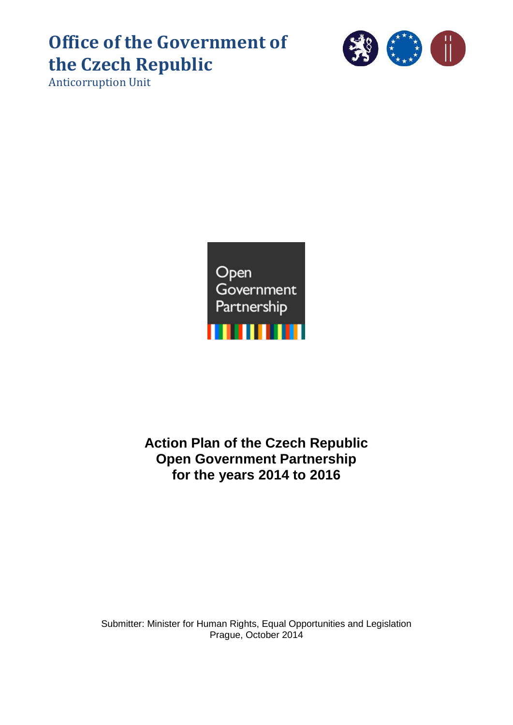# **Office of the Government of the Czech Republic**

Anticorruption Unit



# **Action Plan of the Czech Republic Open Government Partnership for the years 2014 to 2016**

Submitter: Minister for Human Rights, Equal Opportunities and Legislation Prague, October 2014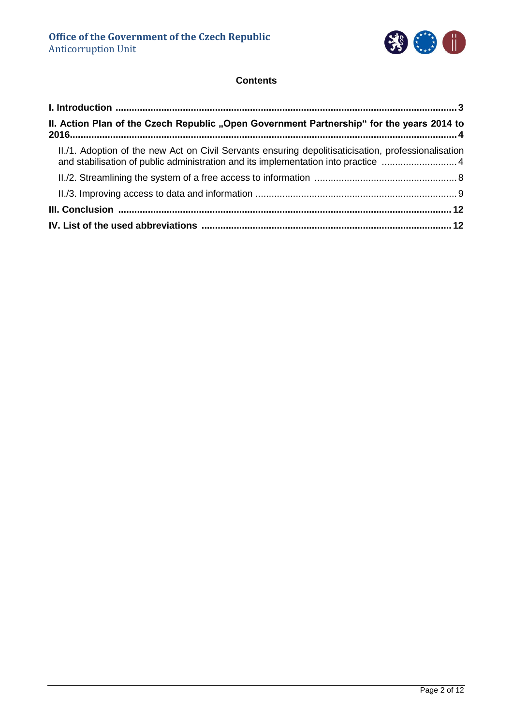

# **Contents**

| II. Action Plan of the Czech Republic "Open Government Partnership" for the years 2014 to                                                                                                |  |
|------------------------------------------------------------------------------------------------------------------------------------------------------------------------------------------|--|
| II./1. Adoption of the new Act on Civil Servants ensuring depolitisaticisation, professionalisation<br>and stabilisation of public administration and its implementation into practice 4 |  |
|                                                                                                                                                                                          |  |
|                                                                                                                                                                                          |  |
|                                                                                                                                                                                          |  |
|                                                                                                                                                                                          |  |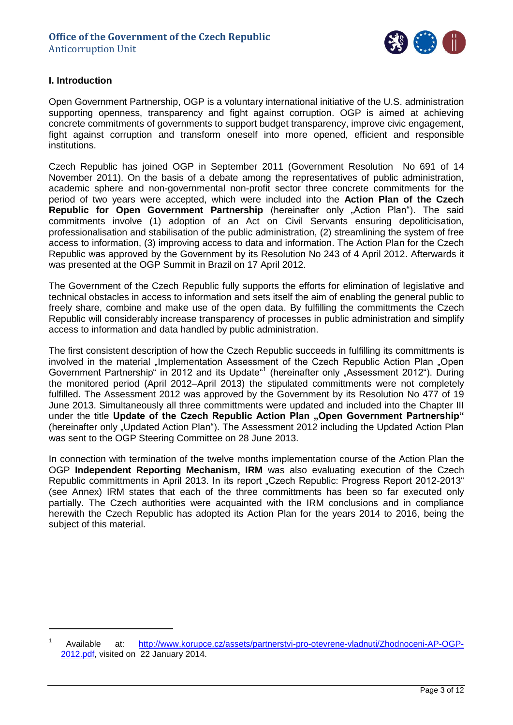

# <span id="page-2-0"></span>**I. Introduction**

1

Open Government Partnership, OGP is a voluntary international initiative of the U.S. administration supporting openness, transparency and fight against corruption. OGP is aimed at achieving concrete commitments of governments to support budget transparency, improve civic engagement, fight against corruption and transform oneself into more opened, efficient and responsible institutions.

Czech Republic has joined OGP in September 2011 (Government Resolution No 691 of 14 November 2011). On the basis of a debate among the representatives of public administration, academic sphere and non-governmental non-profit sector three concrete commitments for the period of two years were accepted, which were included into the **Action Plan of the Czech Republic for Open Government Partnership** (hereinafter only "Action Plan"). The said commitments involve (1) adoption of an Act on Civil Servants ensuring depoliticisation, professionalisation and stabilisation of the public administration, (2) streamlining the system of free access to information, (3) improving access to data and information. The Action Plan for the Czech Republic was approved by the Government by its Resolution No 243 of 4 April 2012. Afterwards it was presented at the OGP Summit in Brazil on 17 April 2012.

The Government of the Czech Republic fully supports the efforts for elimination of legislative and technical obstacles in access to information and sets itself the aim of enabling the general public to freely share, combine and make use of the open data. By fulfilling the committments the Czech Republic will considerably increase transparency of processes in public administration and simplify access to information and data handled by public administration.

The first consistent description of how the Czech Republic succeeds in fulfilling its committments is involved in the material "Implementation Assessment of the Czech Republic Action Plan "Open" Government Partnership" in 2012 and its Update"<sup>1</sup> (hereinafter only "Assessment 2012"). During the monitored period (April 2012–April 2013) the stipulated committments were not completely fulfilled. The Assessment 2012 was approved by the Government by its Resolution No 477 of 19 June 2013. Simultaneously all three committments were updated and included into the Chapter III under the title Update of the Czech Republic Action Plan "Open Government Partnership" (hereinafter only "Updated Action Plan"). The Assessment 2012 including the Updated Action Plan was sent to the OGP Steering Committee on 28 June 2013.

In connection with termination of the twelve months implementation course of the Action Plan the OGP **Independent Reporting Mechanism, IRM** was also evaluating execution of the Czech Republic committments in April 2013. In its report "Czech Republic: Progress Report 2012-2013" (see Annex) IRM states that each of the three committments has been so far executed only partially. The Czech authorities were acquainted with the IRM conclusions and in compliance herewith the Czech Republic has adopted its Action Plan for the years 2014 to 2016, being the subject of this material.

<sup>1</sup> Available at: [http://www.korupce.cz/assets/partnerstvi-pro-otevrene-vladnuti/Zhodnoceni-AP-OGP-](http://www.korupce.cz/assets/partnerstvi-pro-otevrene-vladnuti/Zhodnoceni-AP-OGP-2012.pdf)[2012.pdf,](http://www.korupce.cz/assets/partnerstvi-pro-otevrene-vladnuti/Zhodnoceni-AP-OGP-2012.pdf) visited on 22 January 2014.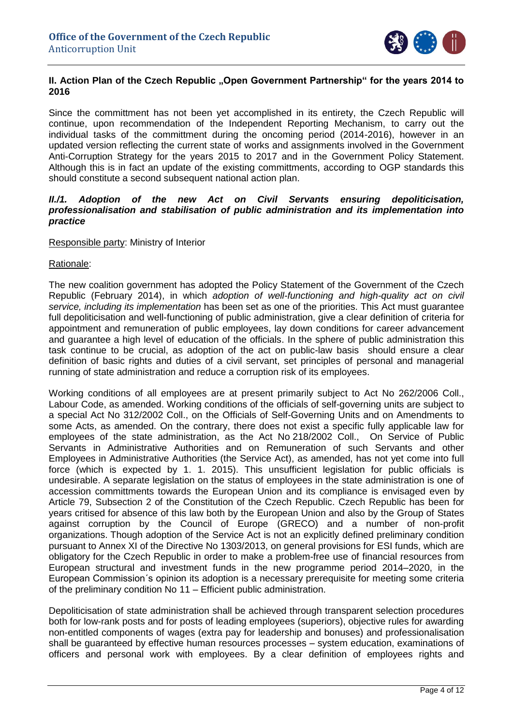

# <span id="page-3-0"></span>**II. Action Plan of the Czech Republic "Open Government Partnership" for the years 2014 to 2016**

Since the committment has not been yet accomplished in its entirety, the Czech Republic will continue, upon recommendation of the Independent Reporting Mechanism, to carry out the individual tasks of the committment during the oncoming period (2014-2016), however in an updated version reflecting the current state of works and assignments involved in the Government Anti-Corruption Strategy for the years 2015 to 2017 and in the Government Policy Statement. Although this is in fact an update of the existing committments, according to OGP standards this should constitute a second subsequent national action plan.

### <span id="page-3-1"></span>II./1. Adoption of the new Act on Civil Servants ensuring depoliticisation, *professionalisation and stabilisation of public administration and its implementation into practice*

## Responsible party: Ministry of Interior

#### Rationale:

The new coalition government has adopted the Policy Statement of the Government of the Czech Republic (February 2014), in which *adoption of well-functioning and high-quality act on civil service, including its implementation* has been set as one of the priorities. This Act must guarantee full depoliticisation and well-functioning of public administration, give a clear definition of criteria for appointment and remuneration of public employees, lay down conditions for career advancement and guarantee a high level of education of the officials. In the sphere of public administration this task continue to be crucial, as adoption of the act on public-law basis should ensure a clear definition of basic rights and duties of a civil servant, set principles of personal and managerial running of state administration and reduce a corruption risk of its employees.

Working conditions of all employees are at present primarily subject to Act No 262/2006 Coll., Labour Code, as amended. Working conditions of the officials of self-governing units are subject to a special Act No 312/2002 Coll., on the Officials of Self-Governing Units and on Amendments to some Acts, as amended. On the contrary, there does not exist a specific fully applicable law for employees of the state administration, as the Act No 218/2002 Coll., On Service of Public Servants in Administrative Authorities and on Remuneration of such Servants and other Employees in Administrative Authorities (the Service Act), as amended, has not yet come into full force (which is expected by 1. 1. 2015). This unsufficient legislation for public officials is undesirable. A separate legislation on the status of employees in the state administration is one of accession committments towards the European Union and its compliance is envisaged even by Article 79, Subsection 2 of the Constitution of the Czech Republic. Czech Republic has been for years critised for absence of this law both by the European Union and also by the Group of States against corruption by the Council of Europe (GRECO) and a number of non-profit organizations. Though adoption of the Service Act is not an explicitly defined preliminary condition pursuant to Annex XI of the Directive No 1303/2013, on general provisions for ESI funds, which are obligatory for the Czech Republic in order to make a problem-free use of financial resources from European structural and investment funds in the new programme period 2014–2020, in the European Commission´s opinion its adoption is a necessary prerequisite for meeting some criteria of the preliminary condition No 11 – Efficient public administration.

Depoliticisation of state administration shall be achieved through transparent selection procedures both for low-rank posts and for posts of leading employees (superiors), objective rules for awarding non-entitled components of wages (extra pay for leadership and bonuses) and professionalisation shall be guaranteed by effective human resources processes – system education, examinations of officers and personal work with employees. By a clear definition of employees rights and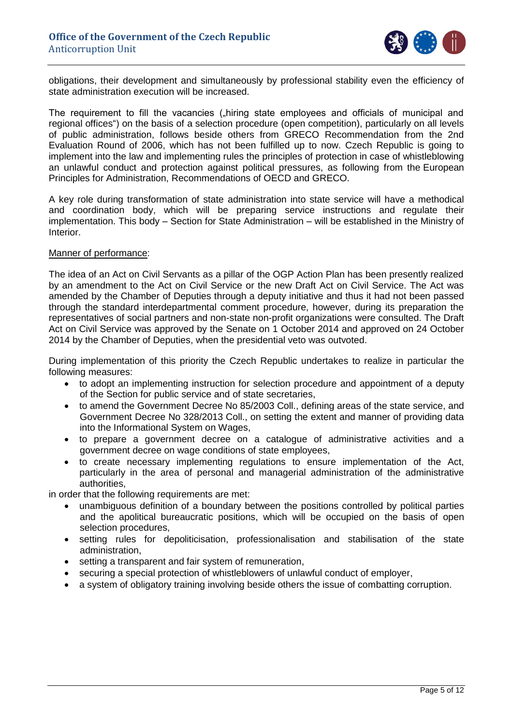

obligations, their development and simultaneously by professional stability even the efficiency of state administration execution will be increased.

The requirement to fill the vacancies ("hiring state employees and officials of municipal and regional offices") on the basis of a selection procedure (open competition), particularly on all levels of public administration, follows beside others from GRECO Recommendation from the 2nd Evaluation Round of 2006, which has not been fulfilled up to now. Czech Republic is going to implement into the law and implementing rules the principles of protection in case of whistleblowing an unlawful conduct and protection against political pressures, as following from the European Principles for Administration, Recommendations of OECD and GRECO.

A key role during transformation of state administration into state service will have a methodical and coordination body, which will be preparing service instructions and regulate their implementation. This body – Section for State Administration – will be established in the Ministry of Interior.

#### Manner of performance:

The idea of an Act on Civil Servants as a pillar of the OGP Action Plan has been presently realized by an amendment to the Act on Civil Service or the new Draft Act on Civil Service. The Act was amended by the Chamber of Deputies through a deputy initiative and thus it had not been passed through the standard interdepartmental comment procedure, however, during its preparation the representatives of social partners and non-state non-profit organizations were consulted. The Draft Act on Civil Service was approved by the Senate on 1 October 2014 and approved on 24 October 2014 by the Chamber of Deputies, when the presidential veto was outvoted.

During implementation of this priority the Czech Republic undertakes to realize in particular the following measures:

- to adopt an implementing instruction for selection procedure and appointment of a deputy of the Section for public service and of state secretaries,
- to amend the Government Decree No 85/2003 Coll., defining areas of the state service, and Government Decree No 328/2013 Coll., on setting the extent and manner of providing data into the Informational System on Wages,
- to prepare a government decree on a catalogue of administrative activities and a government decree on wage conditions of state employees,
- to create necessary implementing regulations to ensure implementation of the Act, particularly in the area of personal and managerial administration of the administrative authorities,

in order that the following requirements are met:

- unambiguous definition of a boundary between the positions controlled by political parties and the apolitical bureaucratic positions, which will be occupied on the basis of open selection procedures,
- setting rules for depoliticisation, professionalisation and stabilisation of the state administration,
- setting a transparent and fair system of remuneration,
- securing a special protection of whistleblowers of unlawful conduct of employer,
- a system of obligatory training involving beside others the issue of combatting corruption.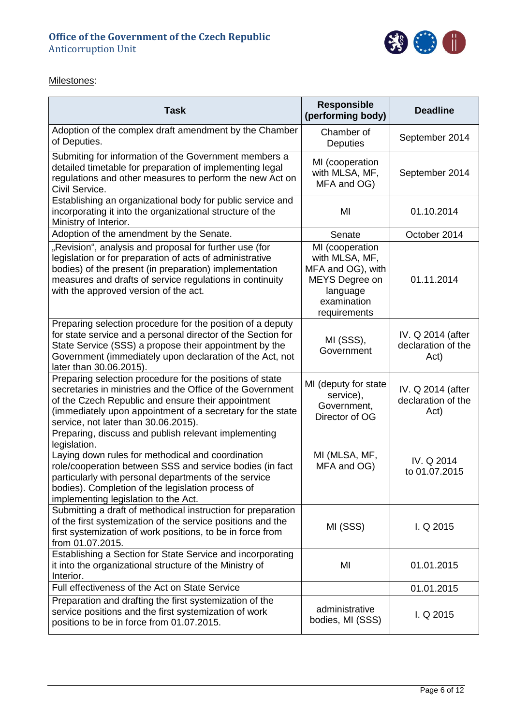

# Milestones:

| <b>Task</b>                                                                                                                                                                                                                                                                                                                                 | <b>Responsible</b><br>(performing body)                                                                             | <b>Deadline</b>                                 |
|---------------------------------------------------------------------------------------------------------------------------------------------------------------------------------------------------------------------------------------------------------------------------------------------------------------------------------------------|---------------------------------------------------------------------------------------------------------------------|-------------------------------------------------|
| Adoption of the complex draft amendment by the Chamber<br>of Deputies.                                                                                                                                                                                                                                                                      | Chamber of<br><b>Deputies</b>                                                                                       | September 2014                                  |
| Submiting for information of the Government members a<br>detailed timetable for preparation of implementing legal<br>regulations and other measures to perform the new Act on<br>Civil Service.                                                                                                                                             | MI (cooperation<br>with MLSA, MF,<br>MFA and OG)                                                                    | September 2014                                  |
| Establishing an organizational body for public service and<br>incorporating it into the organizational structure of the<br>Ministry of Interior.                                                                                                                                                                                            | MI                                                                                                                  | 01.10.2014                                      |
| Adoption of the amendment by the Senate.                                                                                                                                                                                                                                                                                                    | Senate                                                                                                              | October 2014                                    |
| "Revision", analysis and proposal for further use (for<br>legislation or for preparation of acts of administrative<br>bodies) of the present (in preparation) implementation<br>measures and drafts of service regulations in continuity<br>with the approved version of the act.                                                           | MI (cooperation<br>with MLSA, MF,<br>MFA and OG), with<br>MEYS Degree on<br>language<br>examination<br>requirements | 01.11.2014                                      |
| Preparing selection procedure for the position of a deputy<br>for state service and a personal director of the Section for<br>State Service (SSS) a propose their appointment by the<br>Government (immediately upon declaration of the Act, not<br>later than 30.06.2015).                                                                 | MI (SSS),<br>Government                                                                                             | IV. Q 2014 (after<br>declaration of the<br>Act) |
| Preparing selection procedure for the positions of state<br>secretaries in ministries and the Office of the Government<br>of the Czech Republic and ensure their appointment<br>(immediately upon appointment of a secretary for the state<br>service, not later than 30.06.2015).                                                          | MI (deputy for state<br>service),<br>Government,<br>Director of OG                                                  | IV. Q 2014 (after<br>declaration of the<br>Act) |
| Preparing, discuss and publish relevant implementing<br>legislation.<br>Laying down rules for methodical and coordination<br>role/cooperation between SSS and service bodies (in fact<br>particularly with personal departments of the service<br>bodies). Completion of the legislation process of<br>implementing legislation to the Act. | MI (MLSA, MF,<br>MFA and OG)                                                                                        | IV. Q 2014<br>to 01.07.2015                     |
| Submitting a draft of methodical instruction for preparation<br>of the first systemization of the service positions and the<br>first systemization of work positions, to be in force from<br>from 01.07.2015.                                                                                                                               | MI (SSS)                                                                                                            | $I. Q$ 2015                                     |
| Establishing a Section for State Service and incorporating<br>it into the organizational structure of the Ministry of<br>Interior.                                                                                                                                                                                                          | MI                                                                                                                  | 01.01.2015                                      |
| Full effectiveness of the Act on State Service                                                                                                                                                                                                                                                                                              |                                                                                                                     | 01.01.2015                                      |
| Preparation and drafting the first systemization of the<br>service positions and the first systemization of work<br>positions to be in force from 01.07.2015.                                                                                                                                                                               | administrative<br>bodies, MI (SSS)                                                                                  | $I. Q$ 2015                                     |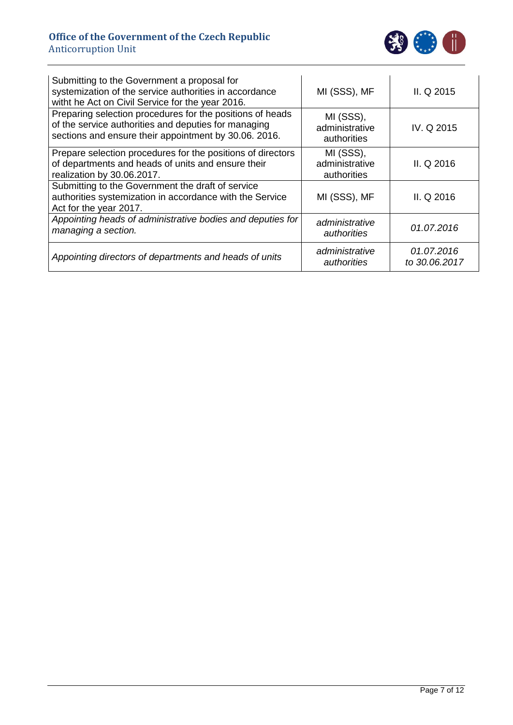

| Submitting to the Government a proposal for<br>systemization of the service authorities in accordance<br>witht he Act on Civil Service for the year 2016.                  | MI (SSS), MF                               | II. Q 2015                  |
|----------------------------------------------------------------------------------------------------------------------------------------------------------------------------|--------------------------------------------|-----------------------------|
| Preparing selection procedures for the positions of heads<br>of the service authorities and deputies for managing<br>sections and ensure their appointment by 30.06. 2016. | MI (SSS),<br>administrative<br>authorities | IV. Q 2015                  |
| Prepare selection procedures for the positions of directors<br>of departments and heads of units and ensure their<br>realization by 30.06.2017.                            | MI (SSS),<br>administrative<br>authorities | II. Q 2016                  |
| Submitting to the Government the draft of service<br>authorities systemization in accordance with the Service<br>Act for the year 2017.                                    | MI (SSS), MF                               | II. Q 2016                  |
| Appointing heads of administrative bodies and deputies for<br>managing a section.                                                                                          | administrative<br>authorities              | 01.07.2016                  |
| Appointing directors of departments and heads of units                                                                                                                     | administrative<br>authorities              | 01.07.2016<br>to 30.06.2017 |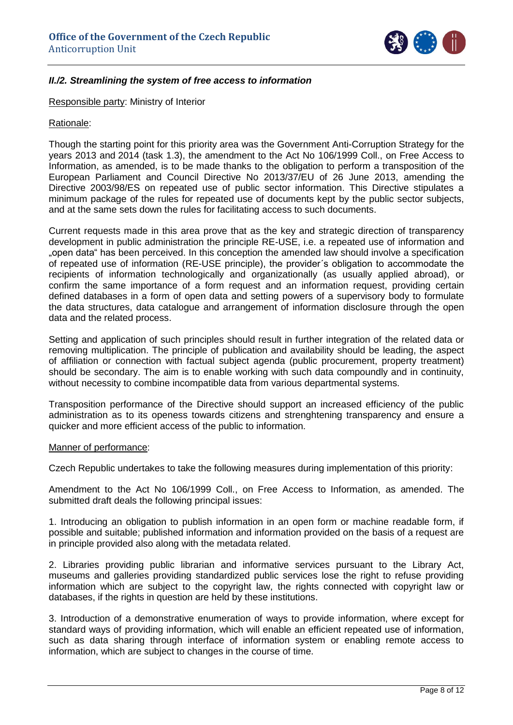

# <span id="page-7-0"></span>*II./2. Streamlining the system of free access to information*

Responsible party: Ministry of Interior

#### Rationale:

Though the starting point for this priority area was the Government Anti-Corruption Strategy for the years 2013 and 2014 (task 1.3), the amendment to the Act No 106/1999 Coll., on Free Access to Information, as amended, is to be made thanks to the obligation to perform a transposition of the European Parliament and Council Directive No 2013/37/EU of 26 June 2013, amending the Directive 2003/98/ES on repeated use of public sector information. This Directive stipulates a minimum package of the rules for repeated use of documents kept by the public sector subjects, and at the same sets down the rules for facilitating access to such documents.

Current requests made in this area prove that as the key and strategic direction of transparency development in public administration the principle RE-USE, i.e. a repeated use of information and "open data" has been perceived. In this conception the amended law should involve a specification of repeated use of information (RE-USE principle), the provider´s obligation to accommodate the recipients of information technologically and organizationally (as usually applied abroad), or confirm the same importance of a form request and an information request, providing certain defined databases in a form of open data and setting powers of a supervisory body to formulate the data structures, data catalogue and arrangement of information disclosure through the open data and the related process.

Setting and application of such principles should result in further integration of the related data or removing multiplication. The principle of publication and availability should be leading, the aspect of affiliation or connection with factual subject agenda (public procurement, property treatment) should be secondary. The aim is to enable working with such data compoundly and in continuity, without necessity to combine incompatible data from various departmental systems.

Transposition performance of the Directive should support an increased efficiency of the public administration as to its openess towards citizens and strenghtening transparency and ensure a quicker and more efficient access of the public to information.

#### Manner of performance:

Czech Republic undertakes to take the following measures during implementation of this priority:

Amendment to the Act No 106/1999 Coll., on Free Access to Information, as amended. The submitted draft deals the following principal issues:

1. Introducing an obligation to publish information in an open form or machine readable form, if possible and suitable; published information and information provided on the basis of a request are in principle provided also along with the metadata related.

2. Libraries providing public librarian and informative services pursuant to the Library Act, museums and galleries providing standardized public services lose the right to refuse providing information which are subject to the copyright law, the rights connected with copyright law or databases, if the rights in question are held by these institutions.

3. Introduction of a demonstrative enumeration of ways to provide information, where except for standard ways of providing information, which will enable an efficient repeated use of information, such as data sharing through interface of information system or enabling remote access to information, which are subject to changes in the course of time.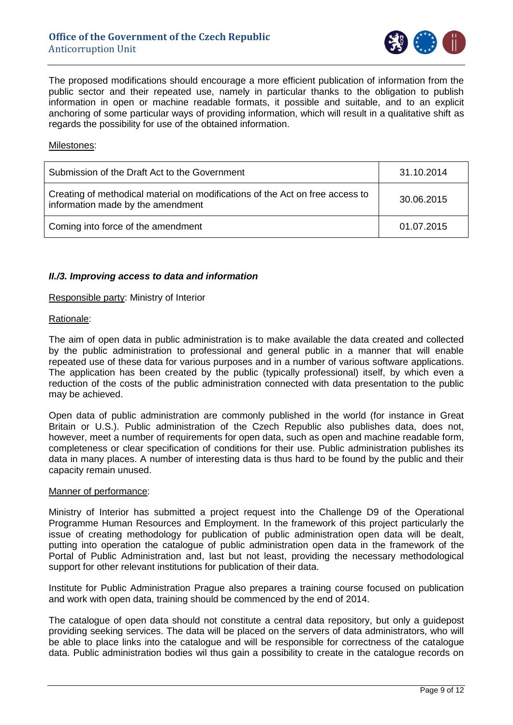

The proposed modifications should encourage a more efficient publication of information from the public sector and their repeated use, namely in particular thanks to the obligation to publish information in open or machine readable formats, it possible and suitable, and to an explicit anchoring of some particular ways of providing information, which will result in a qualitative shift as regards the possibility for use of the obtained information.

#### Milestones:

| Submission of the Draft Act to the Government                                                                      | 31.10.2014 |
|--------------------------------------------------------------------------------------------------------------------|------------|
| Creating of methodical material on modifications of the Act on free access to<br>information made by the amendment | 30.06.2015 |
| Coming into force of the amendment                                                                                 | 01.07.2015 |

## <span id="page-8-0"></span>*II./3. Improving access to data and information*

#### Responsible party: Ministry of Interior

#### Rationale:

The aim of open data in public administration is to make available the data created and collected by the public administration to professional and general public in a manner that will enable repeated use of these data for various purposes and in a number of various software applications. The application has been created by the public (typically professional) itself, by which even a reduction of the costs of the public administration connected with data presentation to the public may be achieved.

Open data of public administration are commonly published in the world (for instance in Great Britain or U.S.). Public administration of the Czech Republic also publishes data, does not, however, meet a number of requirements for open data, such as open and machine readable form, completeness or clear specification of conditions for their use. Public administration publishes its data in many places. A number of interesting data is thus hard to be found by the public and their capacity remain unused.

#### Manner of performance:

Ministry of Interior has submitted a project request into the Challenge D9 of the Operational Programme Human Resources and Employment. In the framework of this project particularly the issue of creating methodology for publication of public administration open data will be dealt, putting into operation the catalogue of public administration open data in the framework of the Portal of Public Administration and, last but not least, providing the necessary methodological support for other relevant institutions for publication of their data.

Institute for Public Administration Prague also prepares a training course focused on publication and work with open data, training should be commenced by the end of 2014.

The catalogue of open data should not constitute a central data repository, but only a guidepost providing seeking services. The data will be placed on the servers of data administrators, who will be able to place links into the catalogue and will be responsible for correctness of the catalogue data. Public administration bodies wil thus gain a possibility to create in the catalogue records on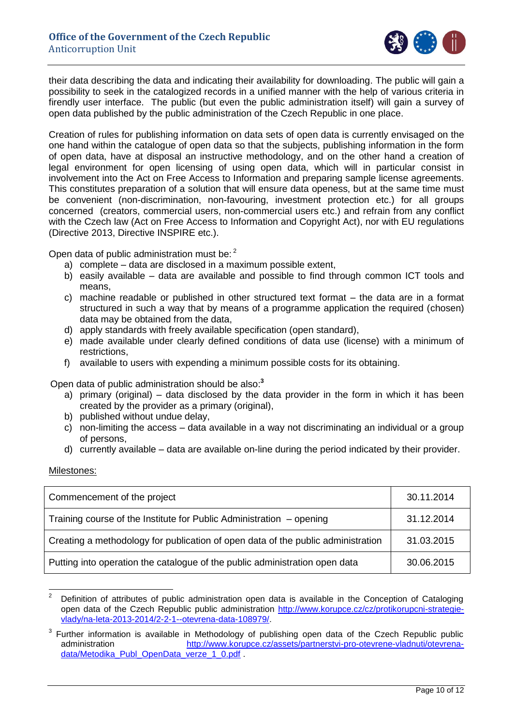

their data describing the data and indicating their availability for downloading. The public will gain a possibility to seek in the catalogized records in a unified manner with the help of various criteria in firendly user interface. The public (but even the public administration itself) will gain a survey of open data published by the public administration of the Czech Republic in one place.

Creation of rules for publishing information on data sets of open data is currently envisaged on the one hand within the catalogue of open data so that the subjects, publishing information in the form of open data, have at disposal an instructive methodology, and on the other hand a creation of legal environment for open licensing of using open data, which will in particular consist in involvement into the Act on Free Access to Information and preparing sample license agreements. This constitutes preparation of a solution that will ensure data openess, but at the same time must be convenient (non-discrimination, non-favouring, investment protection etc.) for all groups concerned (creators, commercial users, non-commercial users etc.) and refrain from any conflict with the Czech law (Act on Free Access to Information and Copyright Act), nor with EU regulations (Directive 2013, Directive INSPIRE etc.).

Open data of public administration must be: 2

- a) complete data are disclosed in a maximum possible extent,
- b) easily available data are available and possible to find through common ICT tools and means,
- c) machine readable or published in other structured text format the data are in a format structured in such a way that by means of a programme application the required (chosen) data may be obtained from the data,
- d) apply standards with freely available specification (open standard),
- e) made available under clearly defined conditions of data use (license) with a minimum of restrictions,
- f) available to users with expending a minimum possible costs for its obtaining.

Open data of public administration should be also: **3**

- a) primary (original) data disclosed by the data provider in the form in which it has been created by the provider as a primary (original),
- b) published without undue delay,
- c) non-limiting the access data available in a way not discriminating an individual or a group of persons,
- d) currently available data are available on-line during the period indicated by their provider.

Milestones:

| Commencement of the project                                                      | 30.11.2014 |
|----------------------------------------------------------------------------------|------------|
| Training course of the Institute for Public Administration $-$ opening           | 31.12.2014 |
| Creating a methodology for publication of open data of the public administration | 31.03.2015 |
| Putting into operation the catalogue of the public administration open data      | 30.06.2015 |

 $\overline{2}$ <sup>2</sup> Definition of attributes of public administration open data is available in the Conception of Cataloging open data of the Czech Republic public administration [http://www.korupce.cz/cz/protikorupcni-strategie](http://www.korupce.cz/cz/protikorupcni-strategie-vlady/na-leta-2013-2014/2-2-1--otevrena-data-108979/)[vlady/na-leta-2013-2014/2-2-1--otevrena-data-108979/.](http://www.korupce.cz/cz/protikorupcni-strategie-vlady/na-leta-2013-2014/2-2-1--otevrena-data-108979/)

 $3$  Further information is available in Methodology of publishing open data of the Czech Republic public administration [http://www.korupce.cz/assets/partnerstvi-pro-otevrene-vladnuti/otevrena](http://www.korupce.cz/assets/partnerstvi-pro-otevrene-vladnuti/otevrena-data/Metodika_Publ_OpenData_verze_1_0.pdf)[data/Metodika\\_Publ\\_OpenData\\_verze\\_1\\_0.pdf](http://www.korupce.cz/assets/partnerstvi-pro-otevrene-vladnuti/otevrena-data/Metodika_Publ_OpenData_verze_1_0.pdf)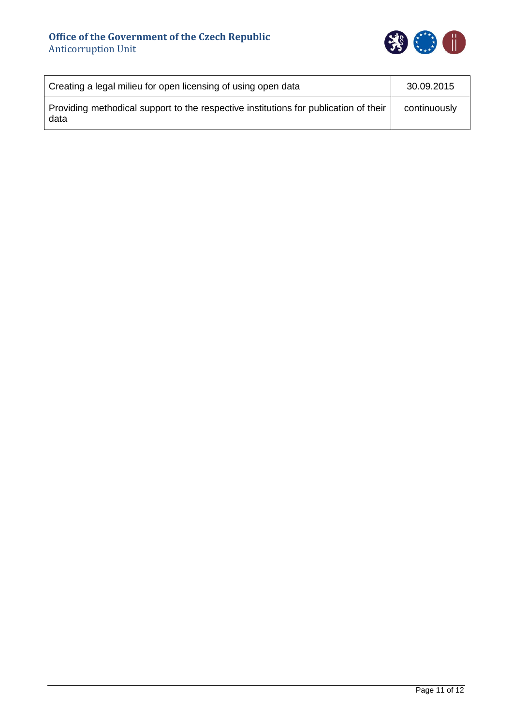

| Creating a legal milieu for open licensing of using open data                                | 30.09.2015   |
|----------------------------------------------------------------------------------------------|--------------|
| Providing methodical support to the respective institutions for publication of their<br>data | continuously |